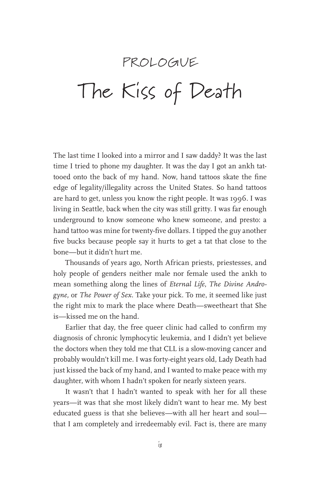## PROLOGNE The Kiss of Death

The last time I looked into a mirror and I saw daddy? It was the last time I tried to phone my daughter. It was the day I got an ankh tattooed onto the back of my hand. Now, hand tattoos skate the fine edge of legality/illegality across the United States. So hand tattoos are hard to get, unless you know the right people. It was 1996. I was living in Seattle, back when the city was still gritty. I was far enough underground to know someone who knew someone, and presto: a hand tattoo was mine for twenty-five dollars. I tipped the guy another five bucks because people say it hurts to get a tat that close to the bone—but it didn't hurt me.

Thousands of years ago, North African priests, priestesses, and holy people of genders neither male nor female used the ankh to mean something along the lines of *Eternal Life*, *The Divine Androgyne,* or *The Power of Sex*. Take your pick. To me, it seemed like just the right mix to mark the place where Death—sweetheart that She is—kissed me on the hand.

Earlier that day, the free queer clinic had called to confirm my diagnosis of chronic lymphocytic leukemia, and I didn't yet believe the doctors when they told me that CLL is a slow-moving cancer and probably wouldn't kill me. I was forty-eight years old, Lady Death had just kissed the back of my hand, and I wanted to make peace with my daughter, with whom I hadn't spoken for nearly sixteen years.

It wasn't that I hadn't wanted to speak with her for all these years—it was that she most likely didn't want to hear me. My best educated guess is that she believes—with all her heart and soul that I am completely and irredeemably evil. Fact is, there are many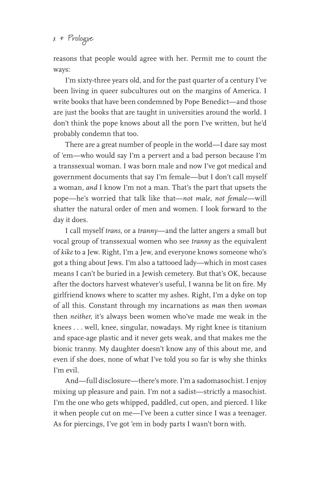## $x *$  Prologue

reasons that people would agree with her. Permit me to count the ways:

I'm sixty-three years old, and for the past quarter of a century I've been living in queer subcultures out on the margins of America. I write books that have been condemned by Pope Benedict—and those are just the books that are taught in universities around the world. I don't think the pope knows about all the porn I've written, but he'd probably condemn that too.

There are a great number of people in the world—I dare say most of 'em—who would say I'm a pervert and a bad person because I'm a transsexual woman. I was born male and now I've got medical and government documents that say I'm female—but I don't call myself a woman, *and* I know I'm not a man. That's the part that upsets the pope—he's worried that talk like that—*not male, not female*—will shatter the natural order of men and women. I look forward to the day it does.

I call myself *trans*, or a *tranny*—and the latter angers a small but vocal group of transsexual women who see *tranny* as the equivalent of *kike* to a Jew. Right, I'm a Jew, and everyone knows someone who's got a thing about Jews. I'm also a tattooed lady—which in most cases means I can't be buried in a Jewish cemetery. But that's OK, because after the doctors harvest whatever's useful, I wanna be lit on fire. My girlfriend knows where to scatter my ashes. Right, I'm a dyke on top of all this. Constant through my incarnations as *man* then *woman* then *neither*, it's always been women who've made me weak in the knees . . . well, knee, singular, nowadays. My right knee is titanium and space-age plastic and it never gets weak, and that makes me the bionic tranny. My daughter doesn't know any of this about me, and even if she does, none of what I've told you so far is why she thinks I'm evil.

And—full disclosure—there's more. I'm a sadomasochist. I enjoy mixing up pleasure and pain. I'm not a sadist—strictly a masochist. I'm the one who gets whipped, paddled, cut open, and pierced. I like it when people cut on me—I've been a cutter since I was a teenager. As for piercings, I've got 'em in body parts I wasn't born with.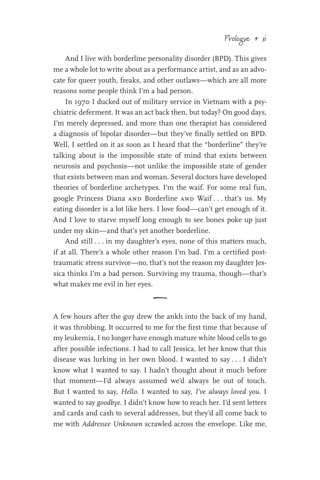And I live with borderline personality disorder (BPD). This gives me a whole lot to write about as a performance artist, and as an advocate for queer youth, freaks, and other outlaws—which are all more reasons some people think I'm a bad person.

In 1970 I ducked out of military service in Vietnam with a psychiatric deferment. It was an act back then, but today? On good days, I'm merely depressed, and more than one therapist has considered a diagnosis of bipolar disorder—but they've finally settled on BPD. Well, I settled on it as soon as I heard that the "borderline" they're talking about is the impossible state of mind that exists between neurosis and psychosis—not unlike the impossible state of gender that exists between man and woman. Several doctors have developed theories of borderline archetypes. I'm the waif. For some real fun, google Princess Diana and Borderline and Waif . . . that's us. My eating disorder is a lot like hers. I love food—can't get enough of it. And I love to starve myself long enough to see bones poke up just under my skin—and that's yet another borderline.

And still . . . in my daughter's eyes, none of this matters much, if at all. There's a whole other reason I'm bad. I'm a certified posttraumatic stress survivor—no, that's not the reason my daughter Jessica thinks I'm a bad person. Surviving my trauma, though—that's what makes me evil in her eyes.

 $\overline{\phantom{0}}$ 

A few hours after the guy drew the ankh into the back of my hand, it was throbbing. It occurred to me for the first time that because of my leukemia, I no longer have enough mature white blood cells to go after possible infections. I had to call Jessica, let her know that this disease was lurking in her own blood. I wanted to say . . . I didn't know what I wanted to say. I hadn't thought about it much before that moment—I'd always assumed we'd always be out of touch. But I wanted to say, *Hello*. I wanted to say, *I've always loved you*. I wanted to say *goodbye*. I didn't know how to reach her. I'd sent letters and cards and cash to several addresses, but they'd all come back to me with *Addressee Unknown* scrawled across the envelope. Like me,